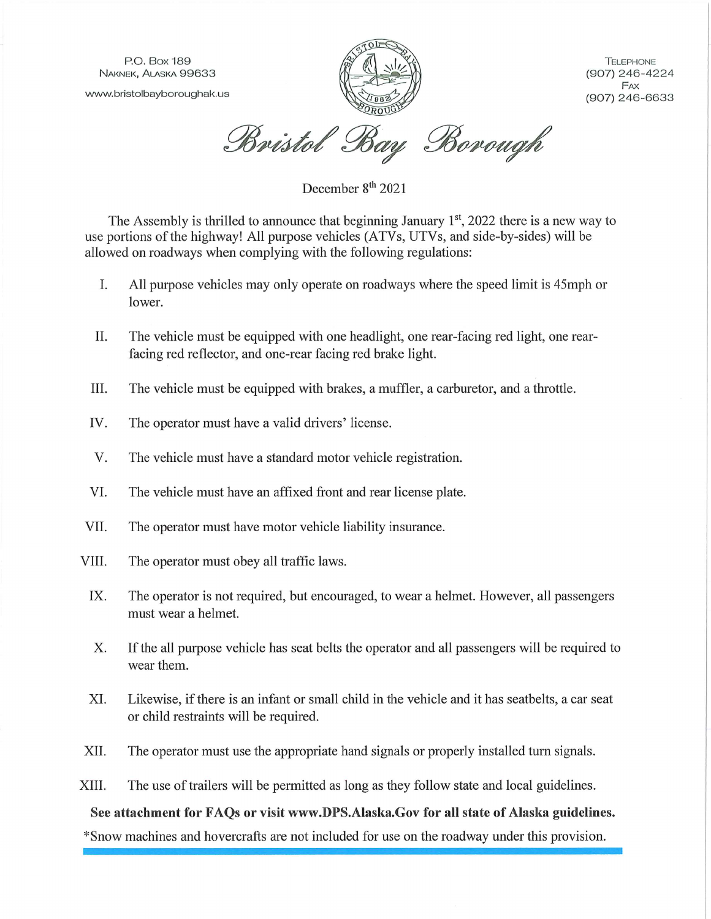P.O. Box 189 NAKNEK, ALASKA 99633

www.bristolbayboroughak.us



**TELEPHONE** (907) 246-4224 FAX (907) 246-6633

Bristol Bay Borough

December 8<sup>th</sup> 2021

The Assembly is thrilled to announce that beginning January  $1<sup>st</sup>$ , 2022 there is a new way to use portions of the highway! All purpose vehicles (ATVs, UTVs, and side-by-sides) will be allowed on roadways when complying with the following regulations:

- I. All purpose vehicles may only operate on roadways where the speed limit is 45mph or lower.
- II. The vehicle must be equipped with one headlight, one rear-facing red light, one rearfacing red reflector, and one-rear facing red brake light.
- III. The vehicle must be equipped with brakes, a muffler, a carburetor, and a throttle.
- IV. The operator must have a valid drivers' license.
- V. The vehicle must have a standard motor vehicle registration.
- VI. The vehicle must have an affixed front and rear license plate.
- VII. The operator must have motor vehicle liability insurance.
- VIII. The operator must obey all traffic laws.
- IX. The operator is not required, but encouraged, to wear a helmet. However, all passengers must wear a helmet.
- X. If the all purpose vehicle has seat belts the operator and all passengers will be required to wear them.
- Likewise, if there is an infant or small child in the vehicle and it has seatbelts, a car seat XI. or child restraints will be required.
- XII. The operator must use the appropriate hand signals or properly installed turn signals.
- XIII. The use of trailers will be permitted as long as they follow state and local guidelines.

## See attachment for FAQs or visit www.DPS.Alaska.Gov for all state of Alaska guidelines.

\*Snow machines and hovercrafts are not included for use on the roadway under this provision.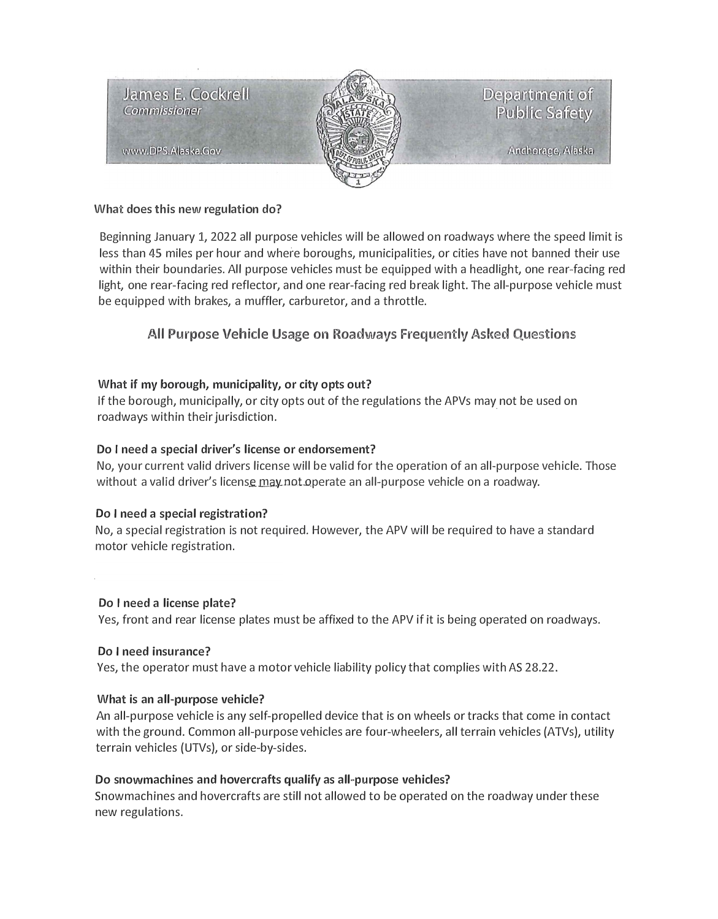

### **What does this new regulation do?**

Beginning January 1, 2022 all purpose vehicles will be allowed on roadways where the speed limit is less than 45 miles per hour and where boroughs, municipalities, or cities have not banned their use within their boundaries. All purpose vehicles must be equipped with a headlight, one rear-facing red light, one rear-facing red reflector, and one rear-facing red break light. The all-purpose vehicle must be equipped with brakes, a muffler, carburetor, and a throttle.

# All Purpose Vehicle Usage on Roadways Frequently Asked Questions

## **What if my borough, municipality, or city opts out?**

If the borough, municipally, or city opts out of the regulations the APVs may not be used on roadways within their jurisdiction.

### **Do I need a special driver's license or endorsement?**

No, your current valid drivers license will be valid for the operation of an all-purpose vehicle. Those without a valid driver's license may not operate an all-purpose vehicle on a roadway.

## Do I **need a special registration?**

No, a special registration is not required. However, the APV will be required to have a standard motor vehicle registration.

#### Do I **need a license plate?**

·�-

Yes, front and rear license plates must be affixed to the APV if it is being operated on roadways.

#### Do I **need insurance?**

Yes, the operator must have a motor vehicle liability policy that complies with AS 28.22.

#### **What is an all-purpose vehicle?**

An all-purpose vehicle is any self-propelled device that is on wheels or tracks that come in contact with the ground. Common all-purpose vehicles are four-wheelers, all terrain vehicles (ATVs), utility terrain vehicles (UTVs), or side-by-sides.

#### **Do snowmachines and hovercrafts qualify as all�purpose vehicles?**

Snowmachines and hovercrafts are still not allowed to be operated on the roadway under these new regulations.